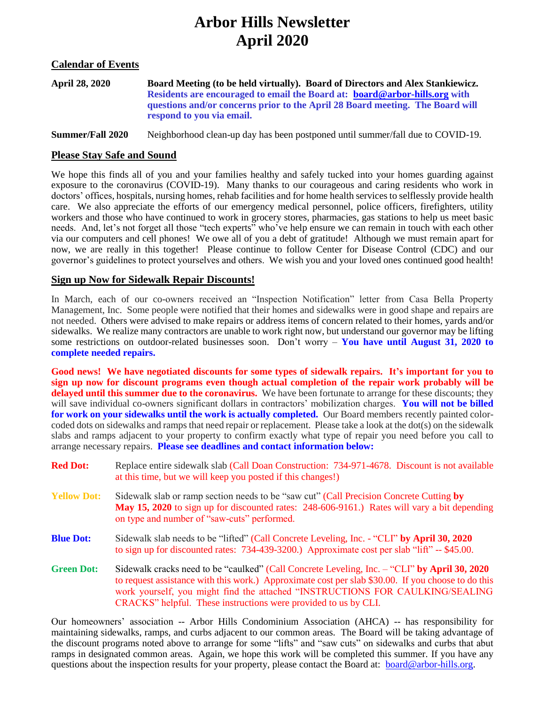# **Arbor Hills Newsletter April 2020**

#### **Calendar of Events**

| April 28, 2020 | Board Meeting (to be held virtually). Board of Directors and Alex Stankiewicz. |
|----------------|--------------------------------------------------------------------------------|
|                | Residents are encouraged to email the Board at: board@arbor-hills.org with     |
|                | questions and/or concerns prior to the April 28 Board meeting. The Board will  |
|                | respond to you via email.                                                      |

**Summer/Fall 2020** Neighborhood clean-up day has been postponed until summer/fall due to COVID-19.

#### **Please Stay Safe and Sound**

We hope this finds all of you and your families healthy and safely tucked into your homes guarding against exposure to the coronavirus (COVID-19). Many thanks to our courageous and caring residents who work in doctors' offices, hospitals, nursing homes, rehab facilities and for home health services to selflessly provide health care. We also appreciate the efforts of our emergency medical personnel, police officers, firefighters, utility workers and those who have continued to work in grocery stores, pharmacies, gas stations to help us meet basic needs. And, let's not forget all those "tech experts" who've help ensure we can remain in touch with each other via our computers and cell phones! We owe all of you a debt of gratitude! Although we must remain apart for now, we are really in this together! Please continue to follow Center for Disease Control (CDC) and our governor's guidelines to protect yourselves and others. We wish you and your loved ones continued good health!

#### **Sign up Now for Sidewalk Repair Discounts!**

In March, each of our co-owners received an "Inspection Notification" letter from Casa Bella Property Management, Inc. Some people were notified that their homes and sidewalks were in good shape and repairs are not needed. Others were advised to make repairs or address items of concern related to their homes, yards and/or sidewalks. We realize many contractors are unable to work right now, but understand our governor may be lifting some restrictions on outdoor-related businesses soon. Don't worry – **You have until August 31, 2020 to complete needed repairs.**

**Good news! We have negotiated discounts for some types of sidewalk repairs. It's important for you to sign up now for discount programs even though actual completion of the repair work probably will be delayed until this summer due to the coronavirus.** We have been fortunate to arrange for these discounts; they will save individual co-owners significant dollars in contractors' mobilization charges. You will not be billed **for work on your sidewalks until the work is actually completed.** Our Board members recently painted colorcoded dots on sidewalks and ramps that need repair or replacement. Please take a look at the dot(s) on the sidewalk slabs and ramps adjacent to your property to confirm exactly what type of repair you need before you call to arrange necessary repairs. **Please see deadlines and contact information below:**

| <b>Red Dot:</b>    | Replace entire sidewalk slab (Call Doan Construction: 734-971-4678. Discount is not available<br>at this time, but we will keep you posted if this changes!)                                                                                                                                                                                           |
|--------------------|--------------------------------------------------------------------------------------------------------------------------------------------------------------------------------------------------------------------------------------------------------------------------------------------------------------------------------------------------------|
| <b>Yellow Dot:</b> | Sidewalk slab or ramp section needs to be "saw cut" (Call Precision Concrete Cutting by<br>May 15, 2020 to sign up for discounted rates: 248-606-9161.) Rates will vary a bit depending<br>on type and number of "saw-cuts" performed.                                                                                                                 |
| <b>Blue Dot:</b>   | Sidewalk slab needs to be "lifted" (Call Concrete Leveling, Inc. - "CLI" by April 30, 2020<br>to sign up for discounted rates: 734-439-3200.) Approximate cost per slab "lift" -- \$45.00.                                                                                                                                                             |
| <b>Green Dot:</b>  | Sidewalk cracks need to be "caulked" (Call Concrete Leveling, Inc. - "CLI" by April 30, 2020<br>to request assistance with this work.) Approximate cost per slab \$30.00. If you choose to do this<br>work yourself, you might find the attached "INSTRUCTIONS FOR CAULKING/SEALING<br>CRACKS" helpful. These instructions were provided to us by CLI. |

Our homeowners' association -- Arbor Hills Condominium Association (AHCA) -- has responsibility for maintaining sidewalks, ramps, and curbs adjacent to our common areas. The Board will be taking advantage of the discount programs noted above to arrange for some "lifts" and "saw cuts" on sidewalks and curbs that abut ramps in designated common areas. Again, we hope this work will be completed this summer. If you have any questions about the inspection results for your property, please contact the Board at: [board@arbor-hills.org.](about:blank)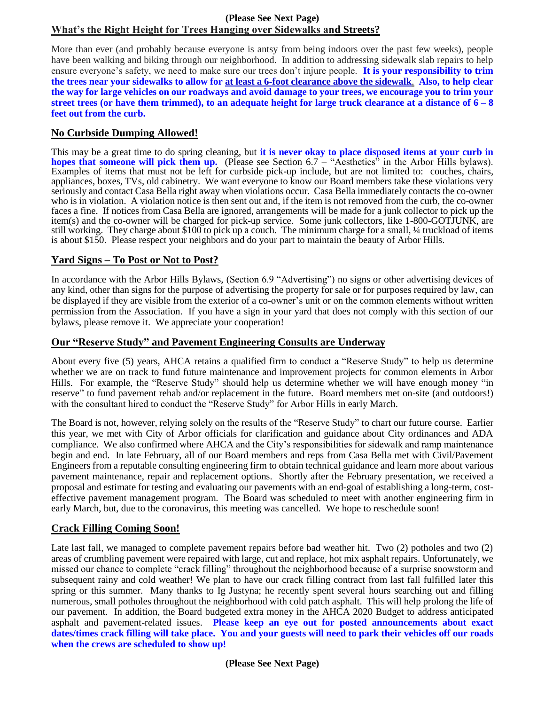## **(Please See Next Page) What's the Right Height for Trees Hanging over Sidewalks and Streets?**

More than ever (and probably because everyone is antsy from being indoors over the past few weeks), people have been walking and biking through our neighborhood. In addition to addressing sidewalk slab repairs to help ensure everyone's safety, we need to make sure our trees don't injure people. **It is your responsibility to trim the trees near your sidewalks to allow for at least a 6-foot clearance above the sidewalk**. **Also, to help clear the way for large vehicles on our roadways and avoid damage to your trees, we encourage you to trim your street trees (or have them trimmed), to an adequate height for large truck clearance at a distance of 6 – 8 feet out from the curb.** 

## **No Curbside Dumping Allowed!**

This may be a great time to do spring cleaning, but **it is never okay to place disposed items at your curb in hopes that someone will pick them up.** (Please see Section 6.7 – "Aesthetics" in the Arbor Hills bylaws). Examples of items that must not be left for curbside pick-up include, but are not limited to: couches, chairs, appliances, boxes, TVs, old cabinetry. We want everyone to know our Board members take these violations very seriously and contact Casa Bella right away when violations occur. Casa Bella immediately contacts the co-owner who is in violation. A violation notice is then sent out and, if the item is not removed from the curb, the co-owner faces a fine. If notices from Casa Bella are ignored, arrangements will be made for a junk collector to pick up the item(s) and the co-owner will be charged for pick-up service. Some junk collectors, like 1-800-GOTJUNK, are still working. They charge about \$100 to pick up a couch. The minimum charge for a small, ¼ truckload of items is about \$150. Please respect your neighbors and do your part to maintain the beauty of Arbor Hills.

## **Yard Signs – To Post or Not to Post?**

In accordance with the Arbor Hills Bylaws, (Section 6.9 "Advertising") no signs or other advertising devices of any kind, other than signs for the purpose of advertising the property for sale or for purposes required by law, can be displayed if they are visible from the exterior of a co-owner's unit or on the common elements without written permission from the Association. If you have a sign in your yard that does not comply with this section of our bylaws, please remove it. We appreciate your cooperation!

## **Our "Reserve Study" and Pavement Engineering Consults are Underway**

About every five (5) years, AHCA retains a qualified firm to conduct a "Reserve Study" to help us determine whether we are on track to fund future maintenance and improvement projects for common elements in Arbor Hills. For example, the "Reserve Study" should help us determine whether we will have enough money "in reserve" to fund pavement rehab and/or replacement in the future. Board members met on-site (and outdoors!) with the consultant hired to conduct the "Reserve Study" for Arbor Hills in early March.

The Board is not, however, relying solely on the results of the "Reserve Study" to chart our future course. Earlier this year, we met with City of Arbor officials for clarification and guidance about City ordinances and ADA compliance. We also confirmed where AHCA and the City's responsibilities for sidewalk and ramp maintenance begin and end. In late February, all of our Board members and reps from Casa Bella met with Civil/Pavement Engineers from a reputable consulting engineering firm to obtain technical guidance and learn more about various pavement maintenance, repair and replacement options. Shortly after the February presentation, we received a proposal and estimate for testing and evaluating our pavements with an end-goal of establishing a long-term, costeffective pavement management program. The Board was scheduled to meet with another engineering firm in early March, but, due to the coronavirus, this meeting was cancelled. We hope to reschedule soon!

# **Crack Filling Coming Soon!**

Late last fall, we managed to complete pavement repairs before bad weather hit. Two (2) potholes and two (2) areas of crumbling pavement were repaired with large, cut and replace, hot mix asphalt repairs. Unfortunately, we missed our chance to complete "crack filling" throughout the neighborhood because of a surprise snowstorm and subsequent rainy and cold weather! We plan to have our crack filling contract from last fall fulfilled later this spring or this summer. Many thanks to Ig Justyna; he recently spent several hours searching out and filling numerous, small potholes throughout the neighborhood with cold patch asphalt. This will help prolong the life of our pavement. In addition, the Board budgeted extra money in the AHCA 2020 Budget to address anticipated asphalt and pavement-related issues. **Please keep an eye out for posted announcements about exact dates/times crack filling will take place. You and your guests will need to park their vehicles off our roads when the crews are scheduled to show up!**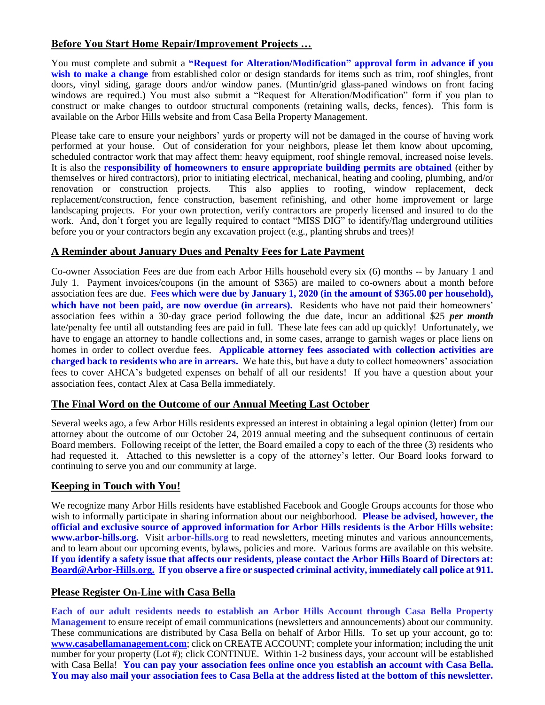## **Before You Start Home Repair/Improvement Projects …**

You must complete and submit a **"Request for Alteration/Modification" approval form in advance if you wish to make a change** from established color or design standards for items such as trim, roof shingles, front doors, vinyl siding, garage doors and/or window panes. (Muntin/grid glass-paned windows on front facing windows are required.) You must also submit a "Request for Alteration/Modification" form if you plan to construct or make changes to outdoor structural components (retaining walls, decks, fences). This form is available on the Arbor Hills website and from Casa Bella Property Management.

Please take care to ensure your neighbors' yards or property will not be damaged in the course of having work performed at your house. Out of consideration for your neighbors, please let them know about upcoming, scheduled contractor work that may affect them: heavy equipment, roof shingle removal, increased noise levels. It is also the **responsibility of homeowners to ensure appropriate building permits are obtained** (either by themselves or hired contractors), prior to initiating electrical, mechanical, heating and cooling, plumbing, and/or renovation or construction projects. This also applies to roofing, window replacement, deck replacement/construction, fence construction, basement refinishing, and other home improvement or large landscaping projects. For your own protection, verify contractors are properly licensed and insured to do the work. And, don't forget you are legally required to contact "MISS DIG" to identify/flag underground utilities before you or your contractors begin any excavation project (e.g., planting shrubs and trees)!

## **A Reminder about January Dues and Penalty Fees for Late Payment**

Co-owner Association Fees are due from each Arbor Hills household every six (6) months -- by January 1 and July 1. Payment invoices/coupons (in the amount of \$365) are mailed to co-owners about a month before association fees are due. **Fees which were due by January 1, 2020 (in the amount of \$365.00 per household),**  which have not been paid, are now overdue (in arrears). Residents who have not paid their homeowners' association fees within a 30-day grace period following the due date, incur an additional \$25 *per month* late/penalty fee until all outstanding fees are paid in full. These late fees can add up quickly! Unfortunately, we have to engage an attorney to handle collections and, in some cases, arrange to garnish wages or place liens on homes in order to collect overdue fees. **Applicable attorney fees associated with collection activities are charged back to residents who are in arrears.** We hate this, but have a duty to collect homeowners' association fees to cover AHCA's budgeted expenses on behalf of all our residents! If you have a question about your association fees, contact Alex at Casa Bella immediately.

## **The Final Word on the Outcome of our Annual Meeting Last October**

Several weeks ago, a few Arbor Hills residents expressed an interest in obtaining a legal opinion (letter) from our attorney about the outcome of our October 24, 2019 annual meeting and the subsequent continuous of certain Board members. Following receipt of the letter, the Board emailed a copy to each of the three (3) residents who had requested it. Attached to this newsletter is a copy of the attorney's letter. Our Board looks forward to continuing to serve you and our community at large.

## **Keeping in Touch with You!**

We recognize many Arbor Hills residents have established Facebook and Google Groups accounts for those who wish to informally participate in sharing information about our neighborhood. **Please be advised, however, the official and exclusive source of approved information for Arbor Hills residents is the Arbor Hills website: www.arbor-hills.org.** Visit **arbor-hills.org** to read newsletters, meeting minutes and various announcements, and to learn about our upcoming events, bylaws, policies and more. Various forms are available on this website. **If you identify a safety issue that affects our residents, please contact the Arbor Hills Board of Directors at: [Board@Arbor-Hills.org.](about:blank) If you observe a fire or suspected criminal activity, immediately call police at 911.**

## **Please Register On-Line with Casa Bella**

**Each of our adult residents needs to establish an Arbor Hills Account through Casa Bella Property Management** to ensure receipt of email communications (newsletters and announcements) about our community. These communications are distributed by Casa Bella on behalf of Arbor Hills. To set up your account, go to: **[www.casabellamanagement.com](about:blank)**; click on CREATE ACCOUNT; complete your information; including the unit number for your property (Lot #); click CONTINUE. Within 1-2 business days, your account will be established with Casa Bella! You can pay your association fees online once you establish an account with Casa Bella. **You may also mail your association fees to Casa Bella at the address listed at the bottom of this newsletter.**